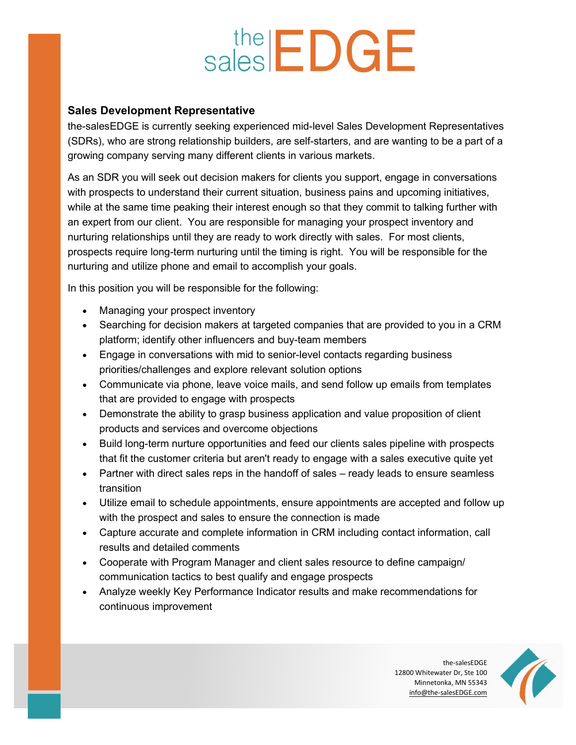## sales **EDGE**

## Sales Development Representative

the-salesEDGE is currently seeking experienced mid-level Sales Development Representatives (SDRs), who are strong relationship builders, are self-starters, and are wanting to be a part of a growing company serving many different clients in various markets.

As an SDR you will seek out decision makers for clients you support, engage in conversations with prospects to understand their current situation, business pains and upcoming initiatives, while at the same time peaking their interest enough so that they commit to talking further with an expert from our client. You are responsible for managing your prospect inventory and nurturing relationships until they are ready to work directly with sales. For most clients, prospects require long-term nurturing until the timing is right. You will be responsible for the nurturing and utilize phone and email to accomplish your goals.

In this position you will be responsible for the following:

- Managing your prospect inventory
- Searching for decision makers at targeted companies that are provided to you in a CRM platform; identify other influencers and buy-team members
- Engage in conversations with mid to senior-level contacts regarding business priorities/challenges and explore relevant solution options
- Communicate via phone, leave voice mails, and send follow up emails from templates that are provided to engage with prospects
- Demonstrate the ability to grasp business application and value proposition of client products and services and overcome objections
- Build long-term nurture opportunities and feed our clients sales pipeline with prospects that fit the customer criteria but aren't ready to engage with a sales executive quite yet
- Partner with direct sales reps in the handoff of sales ready leads to ensure seamless transition
- Utilize email to schedule appointments, ensure appointments are accepted and follow up with the prospect and sales to ensure the connection is made
- Capture accurate and complete information in CRM including contact information, call results and detailed comments
- Cooperate with Program Manager and client sales resource to define campaign/ communication tactics to best qualify and engage prospects
- Analyze weekly Key Performance Indicator results and make recommendations for continuous improvement

the-salesEDGE 12800 Whitewater Dr, Ste 100 Minnetonka, MN 55343 info@the-salesEDGE.com